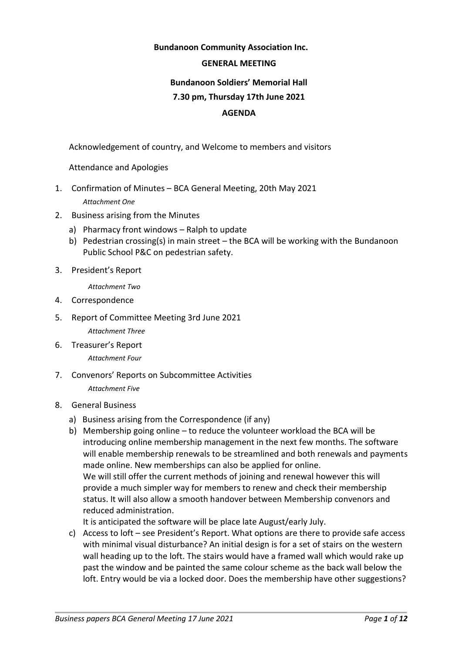## **Bundanoon Community Association Inc.**

#### **GENERAL MEETING**

# **Bundanoon Soldiers' Memorial Hall 7.30 pm, Thursday 17th June 2021 AGENDA**

Acknowledgement of country, and Welcome to members and visitors

Attendance and Apologies

- 1. Confirmation of Minutes BCA General Meeting, 20th May 2021 *Attachment One*
- 2. Business arising from the Minutes
	- a) Pharmacy front windows Ralph to update
	- b) Pedestrian crossing(s) in main street the BCA will be working with the Bundanoon Public School P&C on pedestrian safety.
- 3. President's Report

*Attachment Two*

- 4. Correspondence
- 5. Report of Committee Meeting 3rd June 2021 *Attachment Three*
- 6. Treasurer's Report *Attachment Four*
- 7. Convenors' Reports on Subcommittee Activities *Attachment Five*
- 8. General Business
	- a) Business arising from the Correspondence (if any)
	- b) Membership going online to reduce the volunteer workload the BCA will be introducing online membership management in the next few months. The software will enable membership renewals to be streamlined and both renewals and payments made online. New memberships can also be applied for online. We will still offer the current methods of joining and renewal however this will provide a much simpler way for members to renew and check their membership status. It will also allow a smooth handover between Membership convenors and reduced administration.

It is anticipated the software will be place late August/early July.

c) Access to loft – see President's Report. What options are there to provide safe access with minimal visual disturbance? An initial design is for a set of stairs on the western wall heading up to the loft. The stairs would have a framed wall which would rake up past the window and be painted the same colour scheme as the back wall below the loft. Entry would be via a locked door. Does the membership have other suggestions?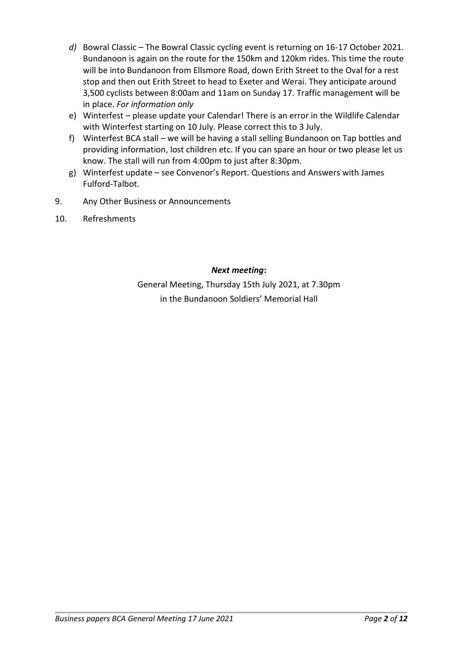- *d)* Bowral Classic The Bowral Classic cycling event is returning on 16-17 October 2021. Bundanoon is again on the route for the 150km and 120km rides. This time the route will be into Bundanoon from Ellsmore Road, down Erith Street to the Oval for a rest stop and then out Erith Street to head to Exeter and Werai. They anticipate around 3,500 cyclists between 8:00am and 11am on Sunday 17. Traffic management will be in place. *For information only*
- e) Winterfest please update your Calendar! There is an error in the Wildlife Calendar with Winterfest starting on 10 July. Please correct this to 3 July.
- f) Winterfest BCA stall we will be having a stall selling Bundanoon on Tap bottles and providing information, lost children etc. If you can spare an hour or two please let us know. The stall will run from 4:00pm to just after 8:30pm.
- g) Winterfest update see Convenor's Report. Questions and Answers with James Fulford-Talbot.
- 9. Any Other Business or Announcements
- 10. Refreshments

# *Next meeting***:**

General Meeting, Thursday 15th July 2021, at 7.30pm in the Bundanoon Soldiers' Memorial Hall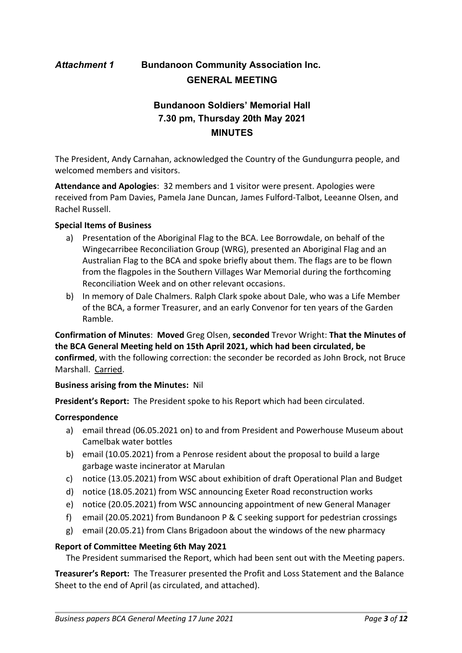# *Attachment 1* **Bundanoon Community Association Inc. GENERAL MEETING**

# **Bundanoon Soldiers' Memorial Hall 7.30 pm, Thursday 20th May 2021 MINUTES**

The President, Andy Carnahan, acknowledged the Country of the Gundungurra people, and welcomed members and visitors.

**Attendance and Apologies**: 32 members and 1 visitor were present. Apologies were received from Pam Davies, Pamela Jane Duncan, James Fulford-Talbot, Leeanne Olsen, and Rachel Russell.

## **Special Items of Business**

- a) Presentation of the Aboriginal Flag to the BCA. Lee Borrowdale, on behalf of the Wingecarribee Reconciliation Group (WRG), presented an Aboriginal Flag and an Australian Flag to the BCA and spoke briefly about them. The flags are to be flown from the flagpoles in the Southern Villages War Memorial during the forthcoming Reconciliation Week and on other relevant occasions.
- b) In memory of Dale Chalmers. Ralph Clark spoke about Dale, who was a Life Member of the BCA, a former Treasurer, and an early Convenor for ten years of the Garden Ramble.

**Confirmation of Minutes**: **Moved** Greg Olsen, **seconded** Trevor Wright: **That the Minutes of the BCA General Meeting held on 15th April 2021, which had been circulated, be confirmed**, with the following correction: the seconder be recorded as John Brock, not Bruce Marshall. Carried.

#### **Business arising from the Minutes:** Nil

**President's Report:** The President spoke to his Report which had been circulated.

#### **Correspondence**

- a) email thread (06.05.2021 on) to and from President and Powerhouse Museum about Camelbak water bottles
- b) email (10.05.2021) from a Penrose resident about the proposal to build a large garbage waste incinerator at Marulan
- c) notice (13.05.2021) from WSC about exhibition of draft Operational Plan and Budget
- d) notice (18.05.2021) from WSC announcing Exeter Road reconstruction works
- e) notice (20.05.2021) from WSC announcing appointment of new General Manager
- f) email (20.05.2021) from Bundanoon P & C seeking support for pedestrian crossings
- g) email (20.05.21) from Clans Brigadoon about the windows of the new pharmacy

#### **Report of Committee Meeting 6th May 2021**

The President summarised the Report, which had been sent out with the Meeting papers.

**Treasurer's Report:** The Treasurer presented the Profit and Loss Statement and the Balance Sheet to the end of April (as circulated, and attached).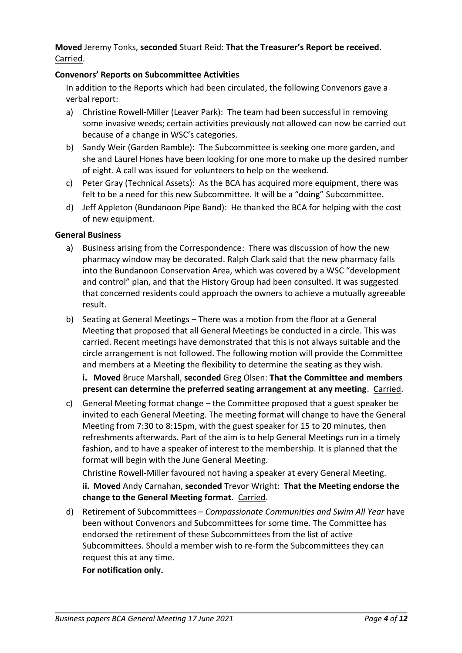# **Moved** Jeremy Tonks, **seconded** Stuart Reid: **That the Treasurer's Report be received.** Carried.

# **Convenors' Reports on Subcommittee Activities**

In addition to the Reports which had been circulated, the following Convenors gave a verbal report:

- a) Christine Rowell-Miller (Leaver Park): The team had been successful in removing some invasive weeds; certain activities previously not allowed can now be carried out because of a change in WSC's categories.
- b) Sandy Weir (Garden Ramble): The Subcommittee is seeking one more garden, and she and Laurel Hones have been looking for one more to make up the desired number of eight. A call was issued for volunteers to help on the weekend.
- c) Peter Gray (Technical Assets): As the BCA has acquired more equipment, there was felt to be a need for this new Subcommittee. It will be a "doing" Subcommittee.
- d) Jeff Appleton (Bundanoon Pipe Band): He thanked the BCA for helping with the cost of new equipment.

## **General Business**

- a) Business arising from the Correspondence: There was discussion of how the new pharmacy window may be decorated. Ralph Clark said that the new pharmacy falls into the Bundanoon Conservation Area, which was covered by a WSC "development and control" plan, and that the History Group had been consulted. It was suggested that concerned residents could approach the owners to achieve a mutually agreeable result.
- b) Seating at General Meetings There was a motion from the floor at a General Meeting that proposed that all General Meetings be conducted in a circle. This was carried. Recent meetings have demonstrated that this is not always suitable and the circle arrangement is not followed. The following motion will provide the Committee and members at a Meeting the flexibility to determine the seating as they wish.

**i. Moved** Bruce Marshall, **seconded** Greg Olsen: **That the Committee and members present can determine the preferred seating arrangement at any meeting**. Carried.

c) General Meeting format change – the Committee proposed that a guest speaker be invited to each General Meeting. The meeting format will change to have the General Meeting from 7:30 to 8:15pm, with the guest speaker for 15 to 20 minutes, then refreshments afterwards. Part of the aim is to help General Meetings run in a timely fashion, and to have a speaker of interest to the membership. It is planned that the format will begin with the June General Meeting.

Christine Rowell-Miller favoured not having a speaker at every General Meeting. **ii. Moved** Andy Carnahan, **seconded** Trevor Wright: **That the Meeting endorse the change to the General Meeting format.** Carried.

d) Retirement of Subcommittees – *Compassionate Communities and Swim All Year* have been without Convenors and Subcommittees for some time. The Committee has endorsed the retirement of these Subcommittees from the list of active Subcommittees. Should a member wish to re-form the Subcommittees they can request this at any time.

**For notification only.**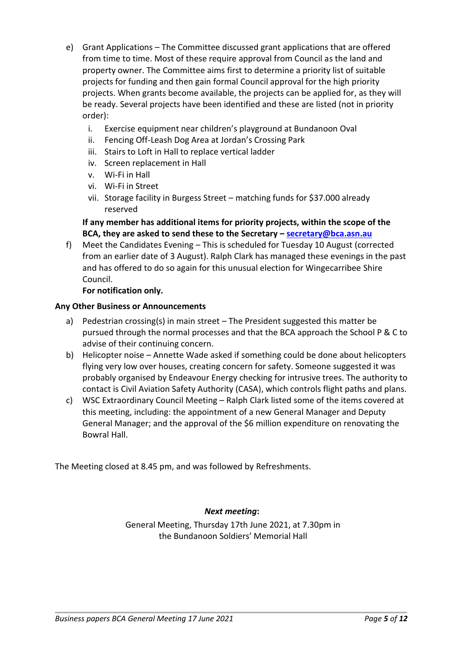- e) Grant Applications The Committee discussed grant applications that are offered from time to time. Most of these require approval from Council as the land and property owner. The Committee aims first to determine a priority list of suitable projects for funding and then gain formal Council approval for the high priority projects. When grants become available, the projects can be applied for, as they will be ready. Several projects have been identified and these are listed (not in priority order):
	- i. Exercise equipment near children's playground at Bundanoon Oval
	- ii. Fencing Off-Leash Dog Area at Jordan's Crossing Park
	- iii. Stairs to Loft in Hall to replace vertical ladder
	- iv. Screen replacement in Hall
	- v. Wi-Fi in Hall
	- vi. Wi-Fi in Street
	- vii. Storage facility in Burgess Street matching funds for \$37.000 already reserved

# **If any member has additional items for priority projects, within the scope of the BCA, they are asked to send these to the Secretary – secretary@bca.asn.au**

f) Meet the Candidates Evening – This is scheduled for Tuesday 10 August (corrected from an earlier date of 3 August). Ralph Clark has managed these evenings in the past and has offered to do so again for this unusual election for Wingecarribee Shire Council.

## **For notification only.**

#### **Any Other Business or Announcements**

- a) Pedestrian crossing(s) in main street The President suggested this matter be pursued through the normal processes and that the BCA approach the School P & C to advise of their continuing concern.
- b) Helicopter noise Annette Wade asked if something could be done about helicopters flying very low over houses, creating concern for safety. Someone suggested it was probably organised by Endeavour Energy checking for intrusive trees. The authority to contact is Civil Aviation Safety Authority (CASA), which controls flight paths and plans.
- c) WSC Extraordinary Council Meeting Ralph Clark listed some of the items covered at this meeting, including: the appointment of a new General Manager and Deputy General Manager; and the approval of the \$6 million expenditure on renovating the Bowral Hall.

The Meeting closed at 8.45 pm, and was followed by Refreshments.

#### *Next meeting***:**

General Meeting, Thursday 17th June 2021, at 7.30pm in the Bundanoon Soldiers' Memorial Hall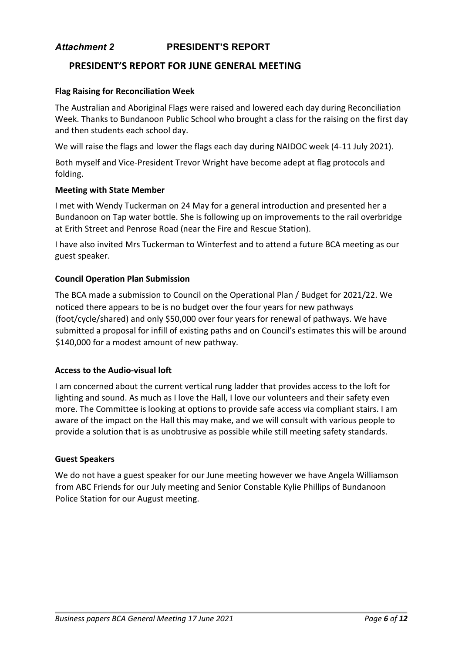# *Attachment 2* **PRESIDENT'S REPORT**

# **PRESIDENT'S REPORT FOR JUNE GENERAL MEETING**

#### **Flag Raising for Reconciliation Week**

The Australian and Aboriginal Flags were raised and lowered each day during Reconciliation Week. Thanks to Bundanoon Public School who brought a class for the raising on the first day and then students each school day.

We will raise the flags and lower the flags each day during NAIDOC week (4-11 July 2021).

Both myself and Vice-President Trevor Wright have become adept at flag protocols and folding.

#### **Meeting with State Member**

I met with Wendy Tuckerman on 24 May for a general introduction and presented her a Bundanoon on Tap water bottle. She is following up on improvements to the rail overbridge at Erith Street and Penrose Road (near the Fire and Rescue Station).

I have also invited Mrs Tuckerman to Winterfest and to attend a future BCA meeting as our guest speaker.

#### **Council Operation Plan Submission**

The BCA made a submission to Council on the Operational Plan / Budget for 2021/22. We noticed there appears to be is no budget over the four years for new pathways (foot/cycle/shared) and only \$50,000 over four years for renewal of pathways. We have submitted a proposal for infill of existing paths and on Council's estimates this will be around \$140,000 for a modest amount of new pathway.

#### **Access to the Audio-visual loft**

I am concerned about the current vertical rung ladder that provides access to the loft for lighting and sound. As much as I love the Hall, I love our volunteers and their safety even more. The Committee is looking at options to provide safe access via compliant stairs. I am aware of the impact on the Hall this may make, and we will consult with various people to provide a solution that is as unobtrusive as possible while still meeting safety standards.

#### **Guest Speakers**

We do not have a guest speaker for our June meeting however we have Angela Williamson from ABC Friends for our July meeting and Senior Constable Kylie Phillips of Bundanoon Police Station for our August meeting.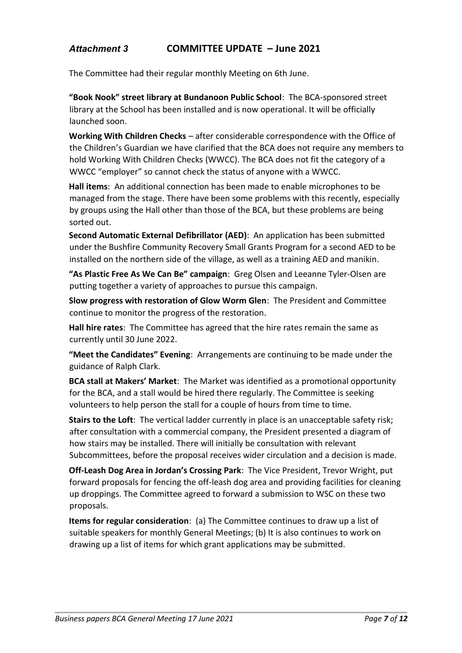# *Attachment 3* **COMMITTEE UPDATE – June 2021**

The Committee had their regular monthly Meeting on 6th June.

**"Book Nook" street library at Bundanoon Public School**: The BCA-sponsored street library at the School has been installed and is now operational. It will be officially launched soon.

**Working With Children Checks** – after considerable correspondence with the Office of the Children's Guardian we have clarified that the BCA does not require any members to hold Working With Children Checks (WWCC). The BCA does not fit the category of a WWCC "employer" so cannot check the status of anyone with a WWCC.

**Hall items**: An additional connection has been made to enable microphones to be managed from the stage. There have been some problems with this recently, especially by groups using the Hall other than those of the BCA, but these problems are being sorted out.

**Second Automatic External Defibrillator (AED)**: An application has been submitted under the Bushfire Community Recovery Small Grants Program for a second AED to be installed on the northern side of the village, as well as a training AED and manikin.

**"As Plastic Free As We Can Be" campaign**: Greg Olsen and Leeanne Tyler-Olsen are putting together a variety of approaches to pursue this campaign.

**Slow progress with restoration of Glow Worm Glen**: The President and Committee continue to monitor the progress of the restoration.

**Hall hire rates**: The Committee has agreed that the hire rates remain the same as currently until 30 June 2022.

**"Meet the Candidates" Evening**: Arrangements are continuing to be made under the guidance of Ralph Clark.

**BCA stall at Makers' Market**: The Market was identified as a promotional opportunity for the BCA, and a stall would be hired there regularly. The Committee is seeking volunteers to help person the stall for a couple of hours from time to time.

**Stairs to the Loft**: The vertical ladder currently in place is an unacceptable safety risk; after consultation with a commercial company, the President presented a diagram of how stairs may be installed. There will initially be consultation with relevant Subcommittees, before the proposal receives wider circulation and a decision is made.

**Off-Leash Dog Area in Jordan's Crossing Park**: The Vice President, Trevor Wright, put forward proposals for fencing the off-leash dog area and providing facilities for cleaning up droppings. The Committee agreed to forward a submission to WSC on these two proposals.

**Items for regular consideration**: (a) The Committee continues to draw up a list of suitable speakers for monthly General Meetings; (b) It is also continues to work on drawing up a list of items for which grant applications may be submitted.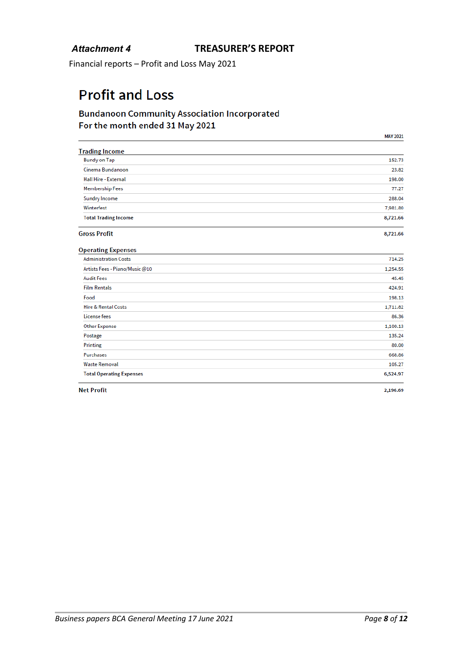Financial reports – Profit and Loss May 2021

# **Profit and Loss**

# **Bundanoon Community Association Incorporated** For the month ended 31 May 2021

|                                 | <b>MAY 2021</b> |
|---------------------------------|-----------------|
| <b>Trading Income</b>           |                 |
| <b>Bundy on Tap</b>             | 152.73          |
| Cinema Bundanoon                | 23.82           |
| <b>Hall Hire - External</b>     | 198.00          |
| <b>Membership Fees</b>          | 77.27           |
| Sundry Income                   | 288.04          |
| Winterfest                      | 7,981.80        |
| <b>Total Trading Income</b>     | 8,721.66        |
| <b>Gross Profit</b>             | 8,721.66        |
| <b>Operating Expenses</b>       |                 |
| <b>Administration Costs</b>     | 714.25          |
| Artists Fees - Piano/Music @10  | 1,254.55        |
| <b>Audit Fees</b>               | 45.45           |
| <b>Film Rentals</b>             | 424.91          |
| Food                            | 198.13          |
| <b>Hire &amp; Rental Costs</b>  | 1,711.82        |
| License fees                    | 86.36           |
| <b>Other Expense</b>            | 1,100.13        |
| Postage                         | 135.24          |
| Printing                        | 80.00           |
| Purchases                       | 668.86          |
| <b>Waste Removal</b>            | 105.27          |
| <b>Total Operating Expenses</b> | 6,524.97        |
|                                 |                 |

**Net Profit** 

2,196.69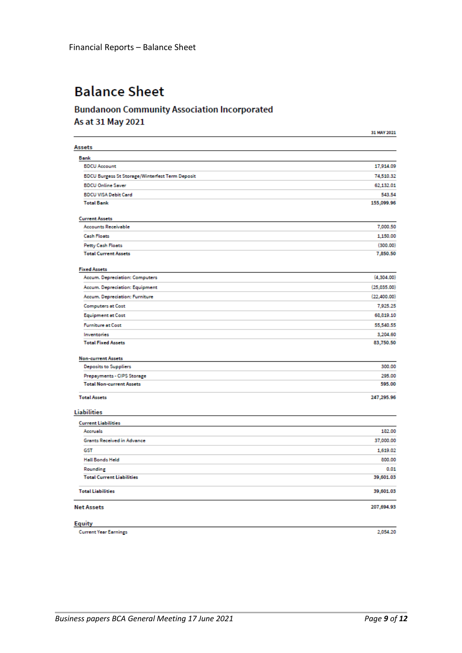# **Balance Sheet**

# **Bundanoon Community Association Incorporated** As at 31 May 2021

|                                                        | 31 MAY 2021 |
|--------------------------------------------------------|-------------|
| Assets                                                 |             |
| <b>Bank</b>                                            |             |
| <b>BDCU Account</b>                                    | 17,914.09   |
| <b>BDCU Burgess St Storage/Winterfest Term Deposit</b> | 74,510.32   |
| <b>BDCU Online Saver</b>                               | 62,132.01   |
| <b>BDCU VISA Debit Card</b>                            | 543.54      |
| <b>Total Bank</b>                                      | 155,099.96  |
| <b>Current Assets</b>                                  |             |
| <b>Accounts Receivable</b>                             | 7,000.50    |
| <b>Cash Floats</b>                                     | 1,150.00    |
| <b>Petty Cash Floats</b>                               | (300.00)    |
| <b>Total Current Assets</b>                            | 7,850.50    |
| <b>Fixed Assets</b>                                    |             |
| Accum. Depreciation: Computers                         | (4,304.00)  |
| Accum. Depreciation: Equipment                         | (25,035.00) |
| Accum. Depreciation: Furniture                         | (22,400.00) |
| <b>Computers at Cost</b>                               | 7,925.25    |
| <b>Equipment at Cost</b>                               | 68,819.10   |
| <b>Furniture at Cost</b>                               | 55,540.55   |
| Inventories                                            | 3,204.60    |
| <b>Total Fixed Assets</b>                              | 83,750.50   |
| <b>Non-current Assets</b>                              |             |
| Deposits to Suppliers                                  | 300.00      |
| Prepayments - CIPS Storage                             | 295.00      |
| <b>Total Non-current Assets</b>                        | 595.00      |
| <b>Total Assets</b>                                    | 247,295.96  |
| <b>Liabilities</b>                                     |             |
| <b>Current Liabilities</b>                             |             |
| Accruals                                               | 182.00      |
| Grants Received in Advance                             | 37,000.00   |
| GST                                                    | 1,619.02    |
| <b>Hall Bonds Held</b>                                 | 800.00      |
| Rounding                                               | 0.01        |
| <b>Total Current Liabilities</b>                       | 39,601.03   |
| <b>Total Liabilities</b>                               | 39,601.03   |
| <b>Net Assets</b>                                      | 207,694.93  |
| <b>Equity</b>                                          |             |
| <b>Current Year Earnings</b>                           | 2,054.20    |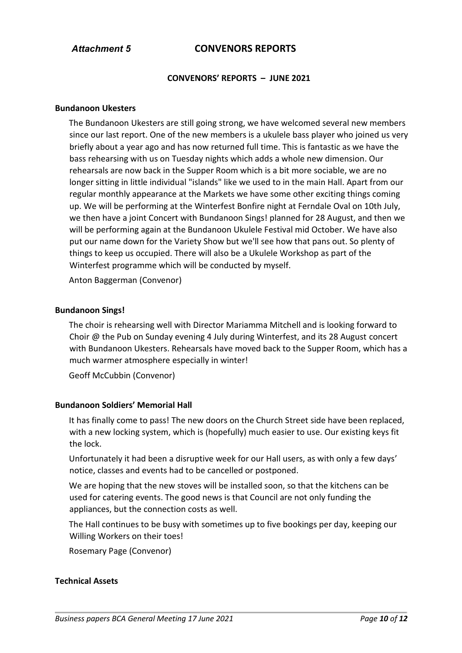# *Attachment 5* **CONVENORS REPORTS**

#### **CONVENORS' REPORTS – JUNE 2021**

#### **Bundanoon Ukesters**

The Bundanoon Ukesters are still going strong, we have welcomed several new members since our last report. One of the new members is a ukulele bass player who joined us very briefly about a year ago and has now returned full time. This is fantastic as we have the bass rehearsing with us on Tuesday nights which adds a whole new dimension. Our rehearsals are now back in the Supper Room which is a bit more sociable, we are no longer sitting in little individual "islands" like we used to in the main Hall. Apart from our regular monthly appearance at the Markets we have some other exciting things coming up. We will be performing at the Winterfest Bonfire night at Ferndale Oval on 10th July, we then have a joint Concert with Bundanoon Sings! planned for 28 August, and then we will be performing again at the Bundanoon Ukulele Festival mid October. We have also put our name down for the Variety Show but we'll see how that pans out. So plenty of things to keep us occupied. There will also be a Ukulele Workshop as part of the Winterfest programme which will be conducted by myself.

Anton Baggerman (Convenor)

#### **Bundanoon Sings!**

The choir is rehearsing well with Director Mariamma Mitchell and is looking forward to Choir @ the Pub on Sunday evening 4 July during Winterfest, and its 28 August concert with Bundanoon Ukesters. Rehearsals have moved back to the Supper Room, which has a much warmer atmosphere especially in winter!

Geoff McCubbin (Convenor)

#### **Bundanoon Soldiers' Memorial Hall**

It has finally come to pass! The new doors on the Church Street side have been replaced, with a new locking system, which is (hopefully) much easier to use. Our existing keys fit the lock.

Unfortunately it had been a disruptive week for our Hall users, as with only a few days' notice, classes and events had to be cancelled or postponed.

We are hoping that the new stoves will be installed soon, so that the kitchens can be used for catering events. The good news is that Council are not only funding the appliances, but the connection costs as well.

The Hall continues to be busy with sometimes up to five bookings per day, keeping our Willing Workers on their toes!

Rosemary Page (Convenor)

#### **Technical Assets**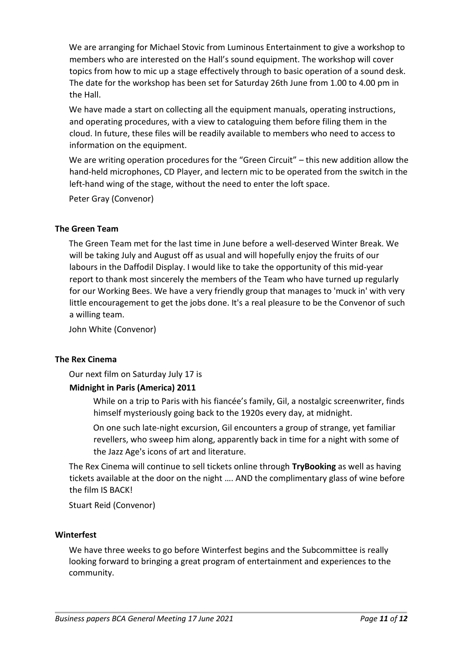We are arranging for Michael Stovic from Luminous Entertainment to give a workshop to members who are interested on the Hall's sound equipment. The workshop will cover topics from how to mic up a stage effectively through to basic operation of a sound desk. The date for the workshop has been set for Saturday 26th June from 1.00 to 4.00 pm in the Hall.

We have made a start on collecting all the equipment manuals, operating instructions, and operating procedures, with a view to cataloguing them before filing them in the cloud. In future, these files will be readily available to members who need to access to information on the equipment.

We are writing operation procedures for the "Green Circuit" – this new addition allow the hand-held microphones, CD Player, and lectern mic to be operated from the switch in the left-hand wing of the stage, without the need to enter the loft space.

Peter Gray (Convenor)

## **The Green Team**

The Green Team met for the last time in June before a well-deserved Winter Break. We will be taking July and August off as usual and will hopefully enjoy the fruits of our labours in the Daffodil Display. I would like to take the opportunity of this mid-year report to thank most sincerely the members of the Team who have turned up regularly for our Working Bees. We have a very friendly group that manages to 'muck in' with very little encouragement to get the jobs done. It's a real pleasure to be the Convenor of such a willing team.

John White (Convenor)

# **The Rex Cinema**

Our next film on Saturday July 17 is

# **Midnight in Paris (America) 2011**

While on a trip to Paris with his fiancée's family, Gil, a nostalgic screenwriter, finds himself mysteriously going back to the 1920s every day, at midnight.

On one such late-night excursion, Gil encounters a group of strange, yet familiar revellers, who sweep him along, apparently back in time for a night with some of the Jazz Age's icons of art and literature.

The Rex Cinema will continue to sell tickets online through **TryBooking** as well as having tickets available at the door on the night …. AND the complimentary glass of wine before the film IS BACK!

Stuart Reid (Convenor)

#### **Winterfest**

We have three weeks to go before Winterfest begins and the Subcommittee is really looking forward to bringing a great program of entertainment and experiences to the community.